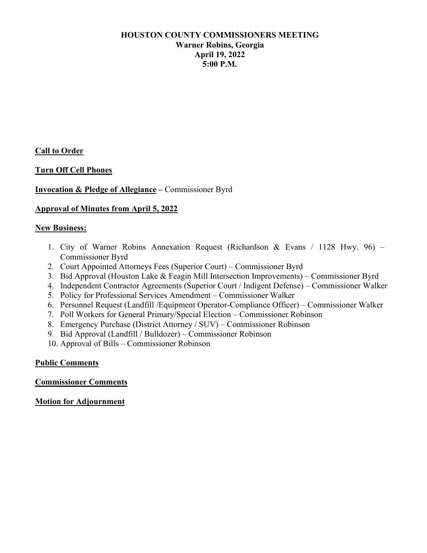### **HOUSTON COUNTY COMMISSIONERS MEETING Warner Robins, Georgia April 19, 2022 5:00 P.M.**

**Call to Order**

### **Turn Off Cell Phones**

### **Invocation & Pledge of Allegiance –** Commissioner Byrd

#### **Approval of Minutes from April 5, 2022**

#### **New Business:**

- 1. City of Warner Robins Annexation Request (Richardson & Evans / 1128 Hwy. 96) Commissioner Byrd
- 2. Court Appointed Attorneys Fees (Superior Court) Commissioner Byrd
- 3. Bid Approval (Houston Lake & Feagin Mill Intersection Improvements) Commissioner Byrd
- 4. Independent Contractor Agreements (Superior Court / Indigent Defense) Commissioner Walker
- 5. Policy for Professional Services Amendment Commissioner Walker
- 6. Personnel Request (Landfill /Equipment Operator-Compliance Officer) Commissioner Walker
- 7. Poll Workers for General Primary/Special Election Commissioner Robinson
- 8. Emergency Purchase (District Attorney / SUV) Commissioner Robinson
- 9. Bid Approval (Landfill / Bulldozer) Commissioner Robinson
- 10. Approval of Bills Commissioner Robinson

### **Public Comments**

#### **Commissioner Comments**

**Motion for Adjournment**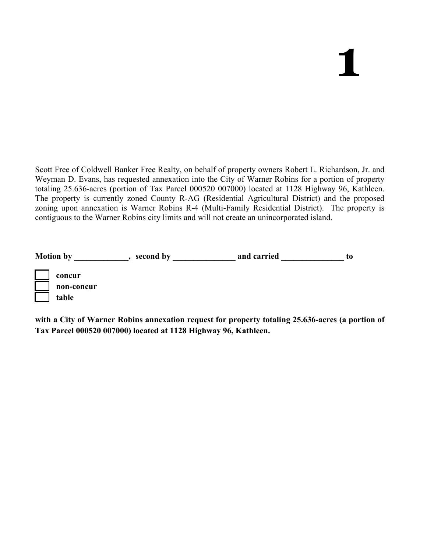Scott Free of Coldwell Banker Free Realty, on behalf of property owners Robert L. Richardson, Jr. and Weyman D. Evans, has requested annexation into the City of Warner Robins for a portion of property totaling 25.636-acres (portion of Tax Parcel 000520 007000) located at 1128 Highway 96, Kathleen. The property is currently zoned County R-AG (Residential Agricultural District) and the proposed zoning upon annexation is Warner Robins R-4 (Multi-Family Residential District). The property is contiguous to the Warner Robins city limits and will not create an unincorporated island.

| <b>Motion by</b> |            | second by | and carried | t0 |
|------------------|------------|-----------|-------------|----|
|                  | concur     |           |             |    |
|                  | non-concur |           |             |    |
|                  | table      |           |             |    |

**with a City of Warner Robins annexation request for property totaling 25.636-acres (a portion of Tax Parcel 000520 007000) located at 1128 Highway 96, Kathleen.**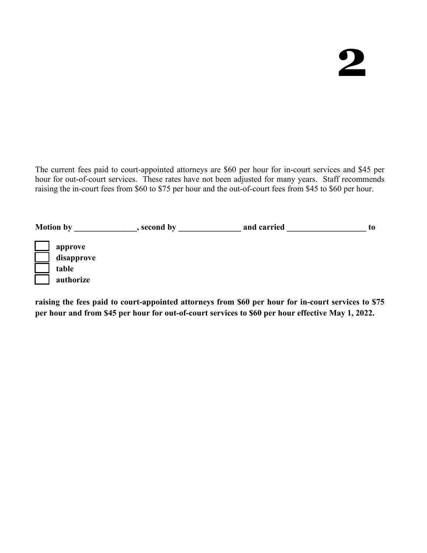The current fees paid to court-appointed attorneys are \$60 per hour for in-court services and \$45 per hour for out-of-court services. These rates have not been adjusted for many years. Staff recommends raising the in-court fees from \$60 to \$75 per hour and the out-of-court fees from \$45 to \$60 per hour.

| <b>Motion by</b> | second by | and carried | to |
|------------------|-----------|-------------|----|
| approve          |           |             |    |
| disapprove       |           |             |    |
| table            |           |             |    |
| authorize        |           |             |    |

**raising the fees paid to court-appointed attorneys from \$60 per hour for in-court services to \$75 per hour and from \$45 per hour for out-of-court services to \$60 per hour effective May 1, 2022.**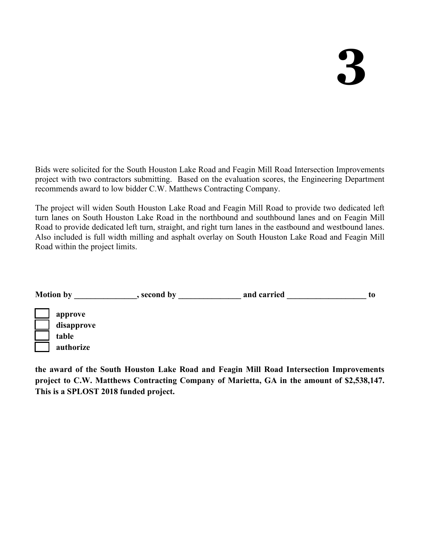Bids were solicited for the South Houston Lake Road and Feagin Mill Road Intersection Improvements project with two contractors submitting. Based on the evaluation scores, the Engineering Department recommends award to low bidder C.W. Matthews Contracting Company.

The project will widen South Houston Lake Road and Feagin Mill Road to provide two dedicated left turn lanes on South Houston Lake Road in the northbound and southbound lanes and on Feagin Mill Road to provide dedicated left turn, straight, and right turn lanes in the eastbound and westbound lanes. Also included is full width milling and asphalt overlay on South Houston Lake Road and Feagin Mill Road within the project limits.

| <b>Motion by</b>                            | second by | and carried | to. |
|---------------------------------------------|-----------|-------------|-----|
| approve<br>disapprove<br>table<br>authorize |           |             |     |
|                                             |           |             |     |

**the award of the South Houston Lake Road and Feagin Mill Road Intersection Improvements project to C.W. Matthews Contracting Company of Marietta, GA in the amount of \$2,538,147. This is a SPLOST 2018 funded project.**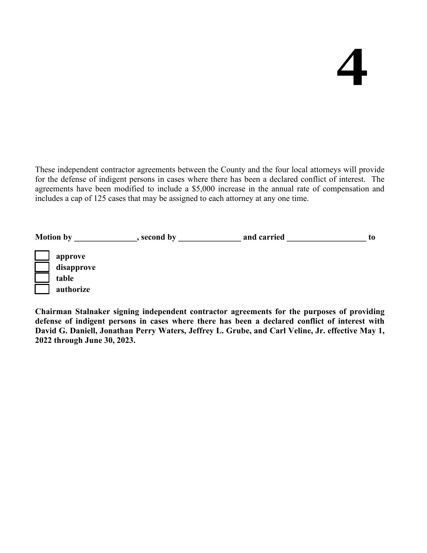These independent contractor agreements between the County and the four local attorneys will provide for the defense of indigent persons in cases where there has been a declared conflict of interest. The agreements have been modified to include a \$5,000 increase in the annual rate of compensation and includes a cap of 125 cases that may be assigned to each attorney at any one time.

| <b>Motion by</b> |                                    | , second by | and carried | to |
|------------------|------------------------------------|-------------|-------------|----|
| table            | approve<br>disapprove<br>authorize |             |             |    |

**Chairman Stalnaker signing independent contractor agreements for the purposes of providing defense of indigent persons in cases where there has been a declared conflict of interest with David G. Daniell, Jonathan Perry Waters, Jeffrey L. Grube, and Carl Veline, Jr. effective May 1, 2022 through June 30, 2023.**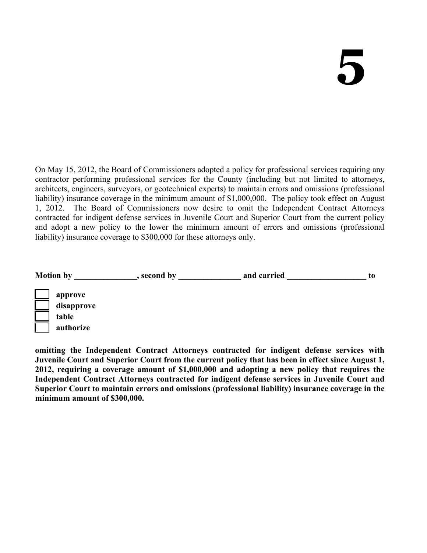On May 15, 2012, the Board of Commissioners adopted a policy for professional services requiring any contractor performing professional services for the County (including but not limited to attorneys, architects, engineers, surveyors, or geotechnical experts) to maintain errors and omissions (professional liability) insurance coverage in the minimum amount of \$1,000,000. The policy took effect on August 1, 2012. The Board of Commissioners now desire to omit the Independent Contract Attorneys contracted for indigent defense services in Juvenile Court and Superior Court from the current policy and adopt a new policy to the lower the minimum amount of errors and omissions (professional liability) insurance coverage to \$300,000 for these attorneys only.

| <b>Motion by</b> | second by | and carried | to |
|------------------|-----------|-------------|----|
| approve          |           |             |    |
| disapprove       |           |             |    |
| table            |           |             |    |
| authorize        |           |             |    |

**omitting the Independent Contract Attorneys contracted for indigent defense services with Juvenile Court and Superior Court from the current policy that has been in effect since August 1, 2012, requiring a coverage amount of \$1,000,000 and adopting a new policy that requires the Independent Contract Attorneys contracted for indigent defense services in Juvenile Court and Superior Court to maintain errors and omissions (professional liability) insurance coverage in the minimum amount of \$300,000.**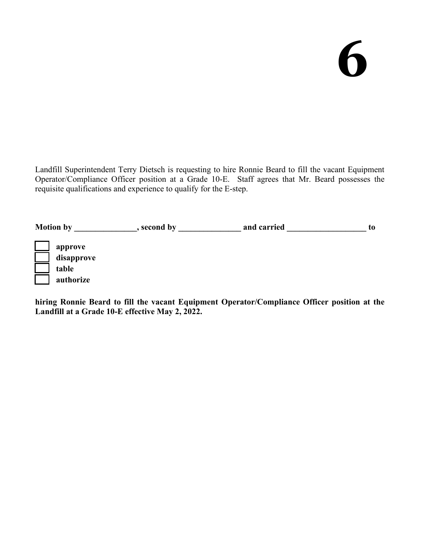Landfill Superintendent Terry Dietsch is requesting to hire Ronnie Beard to fill the vacant Equipment Operator/Compliance Officer position at a Grade 10-E. Staff agrees that Mr. Beard possesses the requisite qualifications and experience to qualify for the E-step.

| <b>Motion by</b> | second by | and carried | to |
|------------------|-----------|-------------|----|
| approve          |           |             |    |
| disapprove       |           |             |    |
| table            |           |             |    |
| authorize        |           |             |    |

**hiring Ronnie Beard to fill the vacant Equipment Operator/Compliance Officer position at the Landfill at a Grade 10-E effective May 2, 2022.**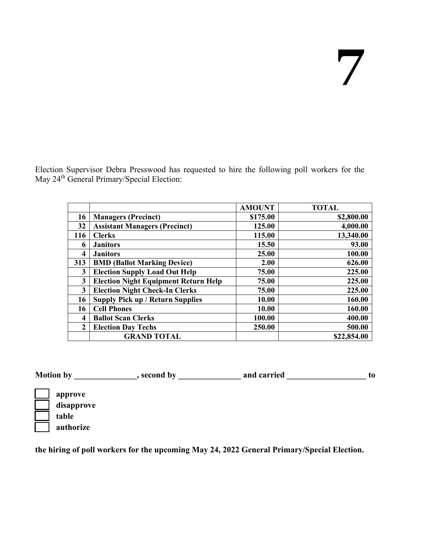Election Supervisor Debra Presswood has requested to hire the following poll workers for the May 24<sup>th</sup> General Primary/Special Election:

|              |                                             | <b>AMOUNT</b> | <b>TOTAL</b> |
|--------------|---------------------------------------------|---------------|--------------|
| 16           | <b>Managers (Precinct)</b>                  | \$175.00      | \$2,800.00   |
| 32           | <b>Assistant Managers (Precinct)</b>        | 125.00        | 4,000.00     |
| 116          | <b>Clerks</b>                               | 115.00        | 13,340.00    |
| 6            | <b>Janitors</b>                             | 15.50         | 93.00        |
| 4            | <b>Janitors</b>                             | 25.00         | 100.00       |
| 313          | <b>BMD (Ballot Marking Device)</b>          | 2.00          | 626.00       |
| 3            | <b>Election Supply Load Out Help</b>        | 75.00         | 225.00       |
| 3            | <b>Election Night Equipment Return Help</b> | 75.00         | 225.00       |
| 3            | <b>Election Night Check-In Clerks</b>       | 75.00         | 225.00       |
| 16           | <b>Supply Pick up / Return Supplies</b>     | 10.00         | 160.00       |
| 16           | <b>Cell Phones</b>                          | 10.00         | 160.00       |
| 4            | <b>Ballot Scan Clerks</b>                   | 100.00        | 400.00       |
| $\mathbf{2}$ | <b>Election Day Techs</b>                   | 250.00        | 500.00       |
|              | <b>GRAND TOTAL</b>                          |               | \$22,854.00  |

Motion by \_\_\_\_\_\_\_\_\_\_\_\_, second by \_\_\_\_\_\_\_\_\_\_\_\_\_\_\_ and carried \_\_\_\_\_\_\_\_\_\_\_\_\_\_\_\_\_\_ to



**the hiring of poll workers for the upcoming May 24, 2022 General Primary/Special Election.**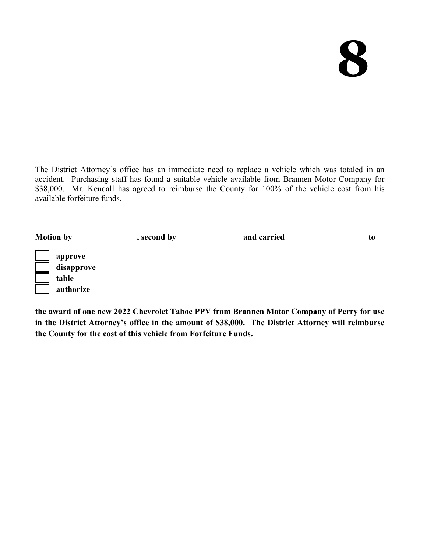The District Attorney's office has an immediate need to replace a vehicle which was totaled in an accident. Purchasing staff has found a suitable vehicle available from Brannen Motor Company for \$38,000. Mr. Kendall has agreed to reimburse the County for 100% of the vehicle cost from his available forfeiture funds.

| <b>Motion by</b>                            | second by | and carried | to |
|---------------------------------------------|-----------|-------------|----|
| approve<br>disapprove<br>table<br>authorize |           |             |    |

**the award of one new 2022 Chevrolet Tahoe PPV from Brannen Motor Company of Perry for use in the District Attorney's office in the amount of \$38,000. The District Attorney will reimburse the County for the cost of this vehicle from Forfeiture Funds.**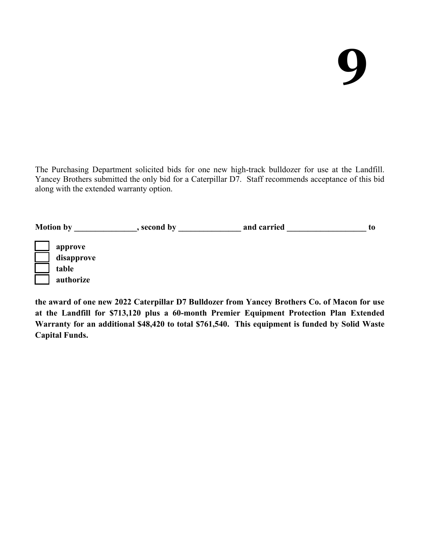The Purchasing Department solicited bids for one new high-track bulldozer for use at the Landfill. Yancey Brothers submitted the only bid for a Caterpillar D7. Staff recommends acceptance of this bid along with the extended warranty option.

| <b>Motion by</b> | second by | and carried | to |
|------------------|-----------|-------------|----|
| approve          |           |             |    |
| disapprove       |           |             |    |
| table            |           |             |    |
| authorize        |           |             |    |

**the award of one new 2022 Caterpillar D7 Bulldozer from Yancey Brothers Co. of Macon for use at the Landfill for \$713,120 plus a 60-month Premier Equipment Protection Plan Extended Warranty for an additional \$48,420 to total \$761,540. This equipment is funded by Solid Waste Capital Funds.**